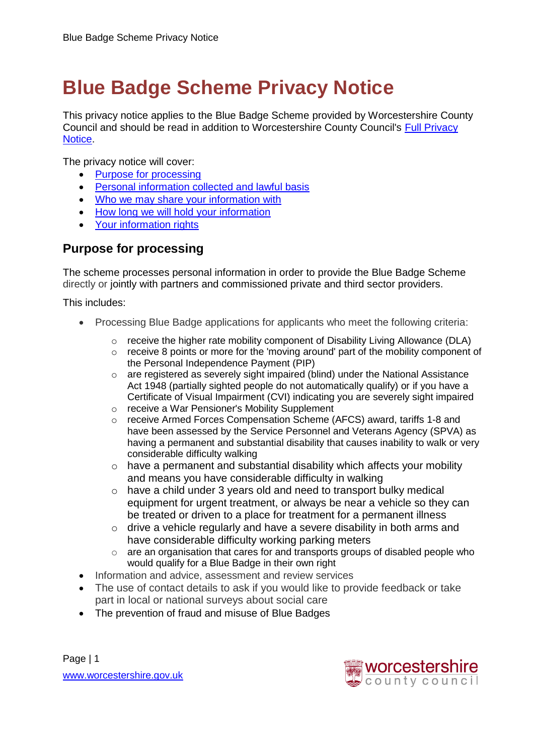# **Blue Badge Scheme Privacy Notice**

This privacy notice applies to the Blue Badge Scheme provided by Worcestershire County Council and should be read in addition to Worcestershire County Council's [Full Privacy](http://www.worcestershire.gov.uk/info/20569/how_we_use_your_information/1725/full_privacy_noticehttp:/www.worcestershire.gov.uk/info/20569/how_we_use_your_information/1725/full_privacy_notice)  [Notice.](http://www.worcestershire.gov.uk/info/20569/how_we_use_your_information/1725/full_privacy_noticehttp:/www.worcestershire.gov.uk/info/20569/how_we_use_your_information/1725/full_privacy_notice)

The privacy notice will cover:

- [Purpose for processing](#page-0-0)
- [Personal information collected and lawful basis](#page-1-0)
- [Who we may share your information with](#page-1-1)
- [How long we will hold your information](#page-2-0)
- **[Your information rights](#page-2-1)**

## <span id="page-0-0"></span>**Purpose for processing**

The scheme processes personal information in order to provide the Blue Badge Scheme directly or jointly with partners and commissioned private and third sector providers.

This includes:

- Processing Blue Badge applications for applicants who meet the following criteria:
	- $\circ$  receive the higher rate mobility component of Disability Living Allowance (DLA)
	- $\circ$  receive 8 points or more for the 'moving around' part of the mobility component of the Personal Independence Payment (PIP)
	- $\circ$  are registered as severely sight impaired (blind) under the National Assistance Act 1948 (partially sighted people do not automatically qualify) or if you have a Certificate of Visual Impairment (CVI) indicating you are severely sight impaired
	- o receive a War Pensioner's Mobility Supplement
	- o receive Armed Forces Compensation Scheme (AFCS) award, tariffs 1-8 and have been assessed by the Service Personnel and Veterans Agency (SPVA) as having a permanent and substantial disability that causes inability to walk or very considerable difficulty walking
	- o have a permanent and substantial disability which affects your mobility and means you have considerable difficulty in walking
	- o have a child under 3 years old and need to transport bulky medical equipment for urgent treatment, or always be near a vehicle so they can be treated or driven to a place for treatment for a permanent illness
	- o drive a vehicle regularly and have a severe disability in both arms and have considerable difficulty working parking meters
	- o are an organisation that cares for and transports groups of disabled people who would qualify for a Blue Badge in their own right
- Information and advice, assessment and review services
- The use of contact details to ask if you would like to provide feedback or take part in local or national surveys about social care
- The prevention of fraud and misuse of Blue Badges

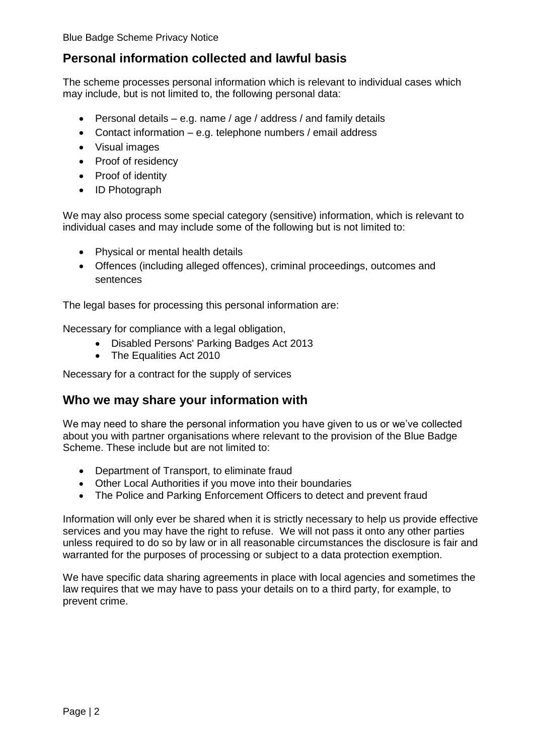Blue Badge Scheme Privacy Notice

### <span id="page-1-0"></span>**Personal information collected and lawful basis**

The scheme processes personal information which is relevant to individual cases which may include, but is not limited to, the following personal data:

- **•** Personal details  $-$  e.g. name / age / address / and family details
- Contact information e.g. telephone numbers / email address
- Visual images
- Proof of residency
- Proof of identity
- ID Photograph

We may also process some special category (sensitive) information, which is relevant to individual cases and may include some of the following but is not limited to:

- Physical or mental health details
- Offences (including alleged offences), criminal proceedings, outcomes and sentences

The legal bases for processing this personal information are:

<span id="page-1-1"></span>Necessary for compliance with a legal obligation,

- Disabled Persons' Parking Badges Act 2013
- The Equalities Act 2010

Necessary for a contract for the supply of services

#### **Who we may share your information with**

We may need to share the personal information you have given to us or we've collected about you with partner organisations where relevant to the provision of the Blue Badge Scheme. These include but are not limited to:

- Department of Transport, to eliminate fraud
- Other Local Authorities if you move into their boundaries
- The Police and Parking Enforcement Officers to detect and prevent fraud

Information will only ever be shared when it is strictly necessary to help us provide effective services and you may have the right to refuse. We will not pass it onto any other parties unless required to do so by law or in all reasonable circumstances the disclosure is fair and warranted for the purposes of processing or subject to a data protection exemption.

We have specific data sharing agreements in place with local agencies and sometimes the law requires that we may have to pass your details on to a third party, for example, to prevent crime.